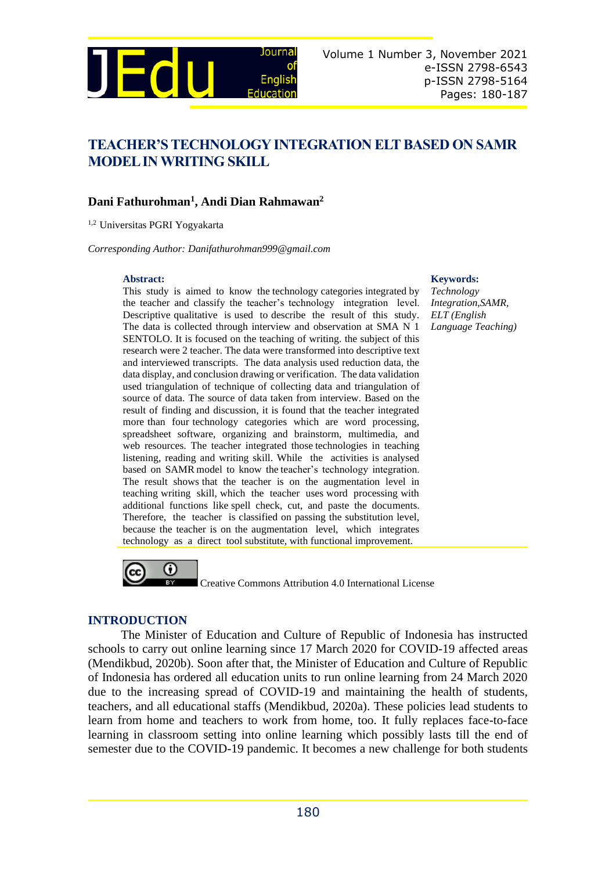

# **TEACHER'S TECHNOLOGY INTEGRATION ELT BASED ON SAMR MODEL IN WRITING SKILL**

## **Dani Fathurohman<sup>1</sup> , Andi Dian Rahmawan<sup>2</sup>**

1,2 Universitas PGRI Yogyakarta

*Corresponding Author: [Danifathurohman999@gmail.com](file:///C:/Users/Doni_Anggoro/Downloads/Danifathurohman999@gmail.com)*

This study is aimed to know the technology categories integrated by the teacher and classify the teacher's technology integration level. Descriptive qualitative is used to describe the result of this study. The data is collected through interview and observation at SMA N 1 SENTOLO. It is focused on the teaching of writing. the subject of this research were 2 teacher. The data were transformed into descriptive text and interviewed transcripts. The data analysis used reduction data, the data display, and conclusion drawing or verification. The data validation used triangulation of technique of collecting data and triangulation of source of data. The source of data taken from interview. Based on the result of finding and discussion, it is found that the teacher integrated more than four technology categories which are word processing, spreadsheet software, organizing and brainstorm, multimedia, and web resources. The teacher integrated those technologies in teaching listening, reading and writing skill. While the activities is analysed based on SAMR model to know the teacher's technology integration. The result shows that the teacher is on the augmentation level in teaching writing skill, which the teacher uses word processing with additional functions like spell check, cut, and paste the documents. Therefore, the teacher is classified on passing the substitution level, because the teacher is on the augmentation level, which integrates technology as a direct tool substitute, with functional improvement.

#### **Abstract: Keywords:**

*Technology Integration,SAMR, ELT (English Language Teaching)*



Creative Commons Attribution 4.0 International License

### **INTRODUCTION**

The Minister of Education and Culture of Republic of Indonesia has instructed schools to carry out online learning since 17 March 2020 for COVID-19 affected areas (Mendikbud, 2020b). Soon after that, the Minister of Education and Culture of Republic of Indonesia has ordered all education units to run online learning from 24 March 2020 due to the increasing spread of COVID-19 and maintaining the health of students, teachers, and all educational staffs (Mendikbud, 2020a). These policies lead students to learn from home and teachers to work from home, too. It fully replaces face-to-face learning in classroom setting into online learning which possibly lasts till the end of semester due to the COVID-19 pandemic. It becomes a new challenge for both students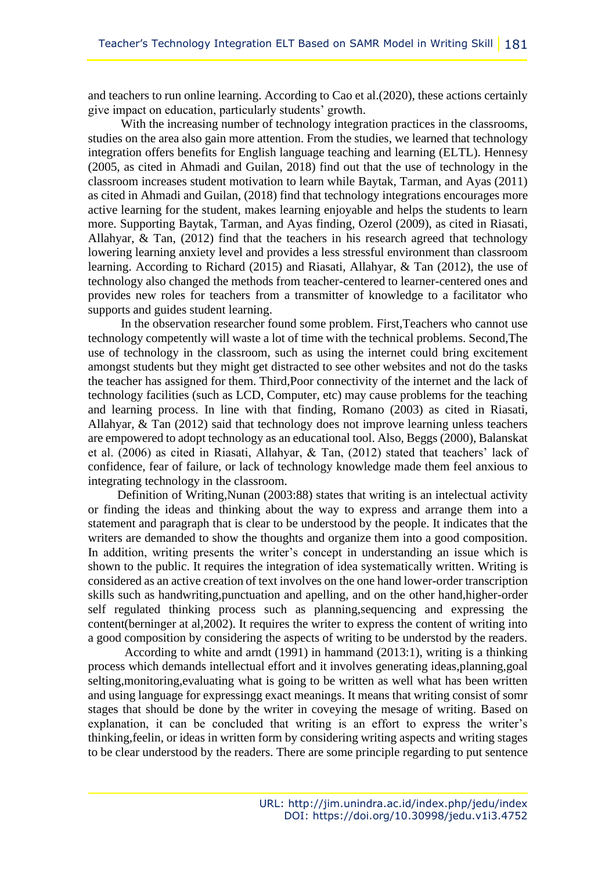and teachers to run online learning. According to Cao et al.(2020), these actions certainly give impact on education, particularly students' growth.

With the increasing number of technology integration practices in the classrooms, studies on the area also gain more attention. From the studies, we learned that technology integration offers benefits for English language teaching and learning (ELTL). Hennesy (2005, as cited in Ahmadi and Guilan, 2018) find out that the use of technology in the classroom increases student motivation to learn while Baytak, Tarman, and Ayas (2011) as cited in Ahmadi and Guilan, (2018) find that technology integrations encourages more active learning for the student, makes learning enjoyable and helps the students to learn more. Supporting Baytak, Tarman, and Ayas finding, Ozerol (2009), as cited in Riasati, Allahyar, & Tan, (2012) find that the teachers in his research agreed that technology lowering learning anxiety level and provides a less stressful environment than classroom learning. According to Richard (2015) and Riasati, Allahyar, & Tan (2012), the use of technology also changed the methods from teacher-centered to learner-centered ones and provides new roles for teachers from a transmitter of knowledge to a facilitator who supports and guides student learning.

In the observation researcher found some problem. First,Teachers who cannot use technology competently will waste a lot of time with the technical problems. Second,The use of technology in the classroom, such as using the internet could bring excitement amongst students but they might get distracted to see other websites and not do the tasks the teacher has assigned for them. Third,Poor connectivity of the internet and the lack of technology facilities (such as LCD, Computer, etc) may cause problems for the teaching and learning process. In line with that finding, Romano (2003) as cited in Riasati, Allahyar, & Tan (2012) said that technology does not improve learning unless teachers are empowered to adopt technology as an educational tool. Also, Beggs (2000), Balanskat et al. (2006) as cited in Riasati, Allahyar, & Tan, (2012) stated that teachers' lack of confidence, fear of failure, or lack of technology knowledge made them feel anxious to integrating technology in the classroom.

Definition of Writing,Nunan (2003:88) states that writing is an intelectual activity or finding the ideas and thinking about the way to express and arrange them into a statement and paragraph that is clear to be understood by the people. It indicates that the writers are demanded to show the thoughts and organize them into a good composition. In addition, writing presents the writer's concept in understanding an issue which is shown to the public. It requires the integration of idea systematically written. Writing is considered as an active creation of text involves on the one hand lower-order transcription skills such as handwriting,punctuation and apelling, and on the other hand,higher-order self regulated thinking process such as planning,sequencing and expressing the content(berninger at al,2002). It requires the writer to express the content of writing into a good composition by considering the aspects of writing to be understod by the readers.

According to white and arndt (1991) in hammand (2013:1), writing is a thinking process which demands intellectual effort and it involves generating ideas,planning,goal selting,monitoring,evaluating what is going to be written as well what has been written and using language for expressingg exact meanings. It means that writing consist of somr stages that should be done by the writer in coveying the mesage of writing. Based on explanation, it can be concluded that writing is an effort to express the writer's thinking,feelin, or ideas in written form by considering writing aspects and writing stages to be clear understood by the readers. There are some principle regarding to put sentence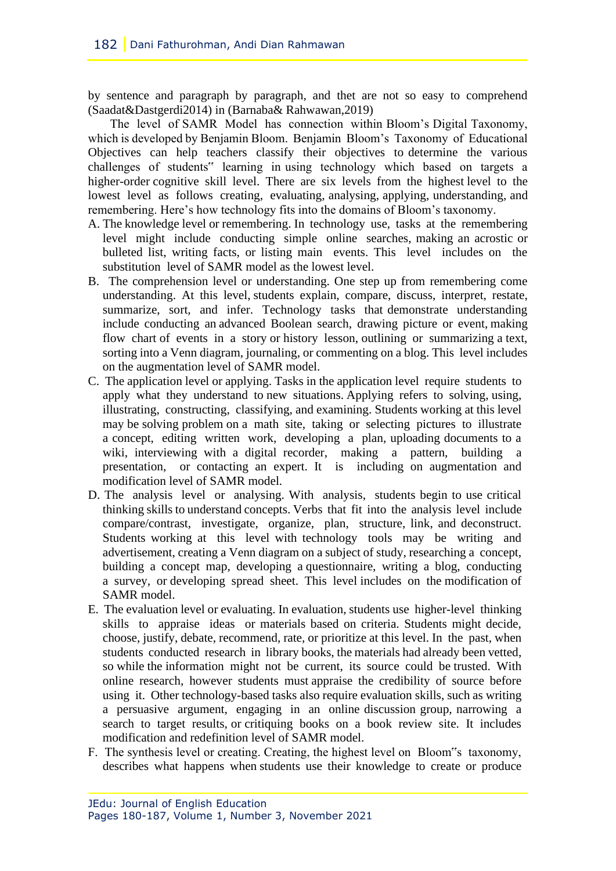by sentence and paragraph by paragraph, and thet are not so easy to comprehend (Saadat&Dastgerdi2014) in (Barnaba& Rahwawan,2019)

The level of SAMR Model has connection within Bloom's Digital Taxonomy, which is developed by Benjamin Bloom. Benjamin Bloom's Taxonomy of Educational Objectives can help teachers classify their objectives to determine the various challenges of students" learning in using technology which based on targets a higher-order cognitive skill level. There are six levels from the highest level to the lowest level as follows creating, evaluating, analysing, applying, understanding, and remembering. Here's how technology fits into the domains of Bloom's taxonomy.

- A. The knowledge level or remembering. In technology use, tasks at the remembering level might include conducting simple online searches, making an acrostic or bulleted list, writing facts, or listing main events. This level includes on the substitution level of SAMR model as the lowest level.
- B. The comprehension level or understanding. One step up from remembering come understanding. At this level, students explain, compare, discuss, interpret, restate, summarize, sort, and infer. Technology tasks that demonstrate understanding include conducting an advanced Boolean search, drawing picture or event, making flow chart of events in a story or history lesson, outlining or summarizing a text, sorting into a Venn diagram, journaling, or commenting on a blog. This level includes on the augmentation level of SAMR model.
- C. The application level or applying. Tasks in the application level require students to apply what they understand to new situations. Applying refers to solving, using, illustrating, constructing, classifying, and examining. Students working at this level may be solving problem on a math site, taking or selecting pictures to illustrate a concept, editing written work, developing a plan, uploading documents to a wiki, interviewing with a digital recorder, making a pattern, building a presentation, or contacting an expert. It is including on augmentation and modification level of SAMR model.
- D. The analysis level or analysing. With analysis, students begin to use critical thinking skills to understand concepts. Verbs that fit into the analysis level include compare/contrast, investigate, organize, plan, structure, link, and deconstruct. Students working at this level with technology tools may be writing and advertisement, creating a Venn diagram on a subject of study, researching a concept, building a concept map, developing a questionnaire, writing a blog, conducting a survey, or developing spread sheet. This level includes on the modification of SAMR model.
- E. The evaluation level or evaluating. In evaluation, students use higher-level thinking skills to appraise ideas or materials based on criteria. Students might decide, choose, justify, debate, recommend, rate, or prioritize at this level. In the past, when students conducted research in library books, the materials had already been vetted, so while the information might not be current, its source could be trusted. With online research, however students must appraise the credibility of source before using it. Other technology-based tasks also require evaluation skills, such as writing a persuasive argument, engaging in an online discussion group, narrowing a search to target results, or critiquing books on a book review site. It includes modification and redefinition level of SAMR model.
- F. The synthesis level or creating. Creating, the highest level on Bloom"s taxonomy, describes what happens when students use their knowledge to create or produce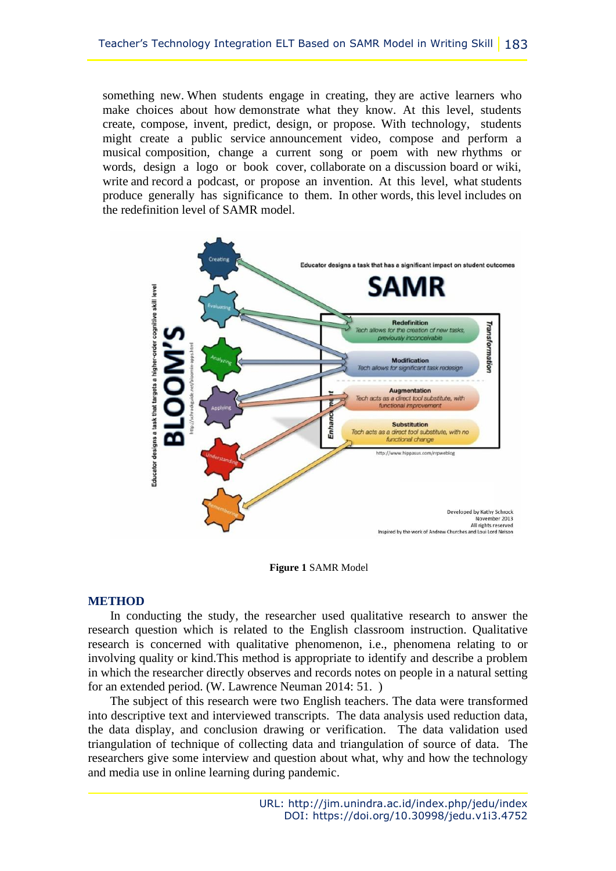something new. When students engage in creating, they are active learners who make choices about how demonstrate what they know. At this level, students create, compose, invent, predict, design, or propose. With technology, students might create a public service announcement video, compose and perform a musical composition, change a current song or poem with new rhythms or words, design a logo or book cover, collaborate on a discussion board or wiki, write and record a podcast, or propose an invention. At this level, what students produce generally has significance to them. In other words, this level includes on the redefinition level of SAMR model.



**Figure 1** SAMR Model

### **METHOD**

In conducting the study, the researcher used qualitative research to answer the research question which is related to the English classroom instruction. Qualitative research is concerned with qualitative phenomenon, i.e., phenomena relating to or involving quality or kind.This method is appropriate to identify and describe a problem in which the researcher directly observes and records notes on people in a natural setting for an extended period. (W. Lawrence Neuman 2014: 51. )

The subject of this research were two English teachers. The data were transformed into descriptive text and interviewed transcripts. The data analysis used reduction data, the data display, and conclusion drawing or verification. The data validation used triangulation of technique of collecting data and triangulation of source of data. The researchers give some interview and question about what, why and how the technology and media use in online learning during pandemic.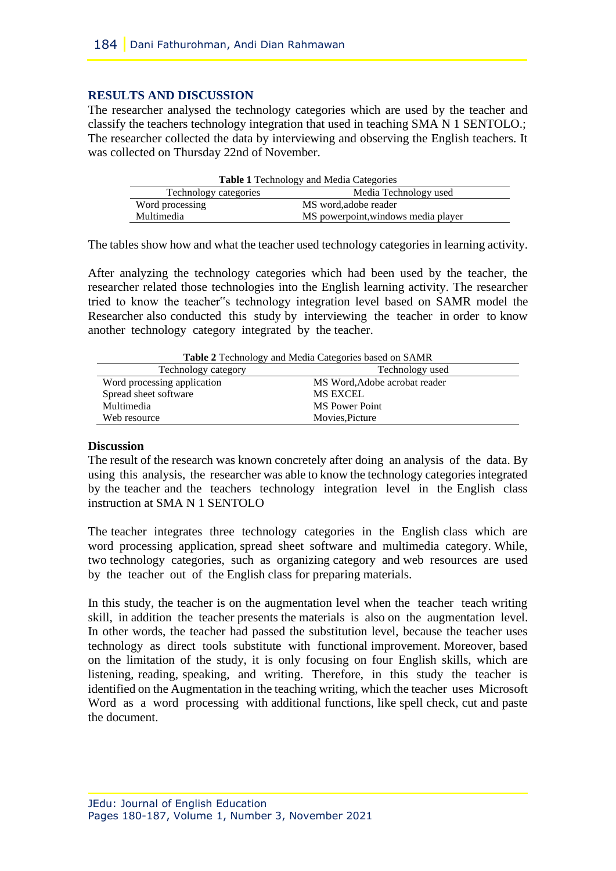#### **RESULTS AND DISCUSSION**

The researcher analysed the technology categories which are used by the teacher and classify the teachers technology integration that used in teaching SMA N 1 SENTOLO.; The researcher collected the data by interviewing and observing the English teachers. It was collected on Thursday 22nd of November.

| <b>Table 1 Technology and Media Categories</b> |                                     |
|------------------------------------------------|-------------------------------------|
| Technology categories                          | Media Technology used               |
| Word processing                                | MS word, adobe reader               |
| Multimedia                                     | MS powerpoint, windows media player |

The tables show how and what the teacher used technology categories in learning activity.

After analyzing the technology categories which had been used by the teacher, the researcher related those technologies into the English learning activity. The researcher tried to know the teacher"s technology integration level based on SAMR model the Researcher also conducted this study by interviewing the teacher in order to know another technology category integrated by the teacher.

| <b>Table 2</b> Technology and Media Categories based on SAMR |                               |
|--------------------------------------------------------------|-------------------------------|
| Technology category                                          | Technology used               |
| Word processing application                                  | MS Word, Adobe acrobat reader |
| Spread sheet software                                        | <b>MS EXCEL</b>               |
| Multimedia                                                   | <b>MS</b> Power Point         |
| Web resource                                                 | Movies.Picture                |

**Table 2** Technology and Media Categories based on SAMR

### **Discussion**

The result of the research was known concretely after doing an analysis of the data. By using this analysis, the researcher was able to know the technology categories integrated by the teacher and the teachers technology integration level in the English class instruction at SMA N 1 SENTOLO

The teacher integrates three technology categories in the English class which are word processing application, spread sheet software and multimedia category. While, two technology categories, such as organizing category and web resources are used by the teacher out of the English class for preparing materials.

In this study, the teacher is on the augmentation level when the teacher teach writing skill, in addition the teacher presents the materials is also on the augmentation level. In other words, the teacher had passed the substitution level, because the teacher uses technology as direct tools substitute with functional improvement. Moreover, based on the limitation of the study, it is only focusing on four English skills, which are listening, reading, speaking, and writing. Therefore, in this study the teacher is identified on the Augmentation in the teaching writing, which the teacher uses Microsoft Word as a word processing with additional functions, like spell check, cut and paste the document.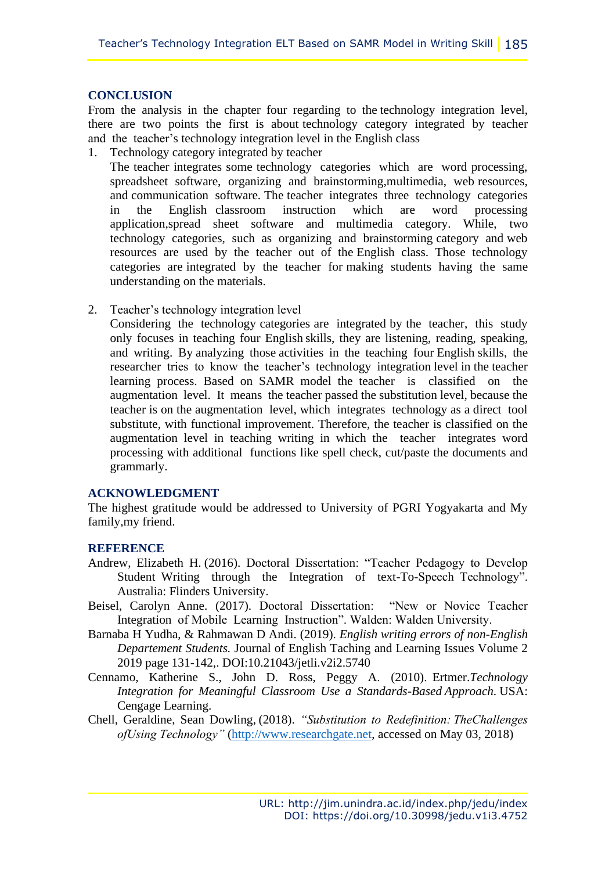#### **CONCLUSION**

From the analysis in the chapter four regarding to the technology integration level, there are two points the first is about technology category integrated by teacher and the teacher's technology integration level in the English class

1. Technology category integrated by teacher

The teacher integrates some technology categories which are word processing, spreadsheet software, organizing and brainstorming,multimedia, web resources, and communication software. The teacher integrates three technology categories in the English classroom instruction which are word processing application,spread sheet software and multimedia category. While, two technology categories, such as organizing and brainstorming category and web resources are used by the teacher out of the English class. Those technology categories are integrated by the teacher for making students having the same understanding on the materials.

2. Teacher's technology integration level

Considering the technology categories are integrated by the teacher, this study only focuses in teaching four English skills, they are listening, reading, speaking, and writing. By analyzing those activities in the teaching four English skills, the researcher tries to know the teacher's technology integration level in the teacher learning process. Based on SAMR model the teacher is classified on the augmentation level. It means the teacher passed the substitution level, because the teacher is on the augmentation level, which integrates technology as a direct tool substitute, with functional improvement. Therefore, the teacher is classified on the augmentation level in teaching writing in which the teacher integrates word processing with additional functions like spell check, cut/paste the documents and grammarly.

#### **ACKNOWLEDGMENT**

The highest gratitude would be addressed to University of PGRI Yogyakarta and My family,my friend.

### **REFERENCE**

- Andrew, Elizabeth H. (2016). Doctoral Dissertation: "Teacher Pedagogy to Develop Student Writing through the Integration of text-To-Speech Technology". Australia: Flinders University.
- Beisel, Carolyn Anne. (2017). Doctoral Dissertation: "New or Novice Teacher Integration of Mobile Learning Instruction". Walden: Walden University.
- Barnaba H Yudha, & Rahmawan D Andi. (2019). *English writing errors of non-English Departement Students.* Journal of English Taching and Learning Issues Volume 2 2019 page 131-142,. DOI:10.21043/jetli.v2i2.5740
- Cennamo, Katherine S., John D. Ross, Peggy A. (2010). Ertmer.*Technology Integration for Meaningful Classroom Use a Standards-Based Approach.* USA: Cengage Learning.
- Chell, Geraldine, Sean Dowling, (2018). *"Substitution to Redefinition: TheChallenges ofUsing Technology"* [\(http://www.researchgate.net,](http://www.researchgate.net/) accessed on May 03, 2018)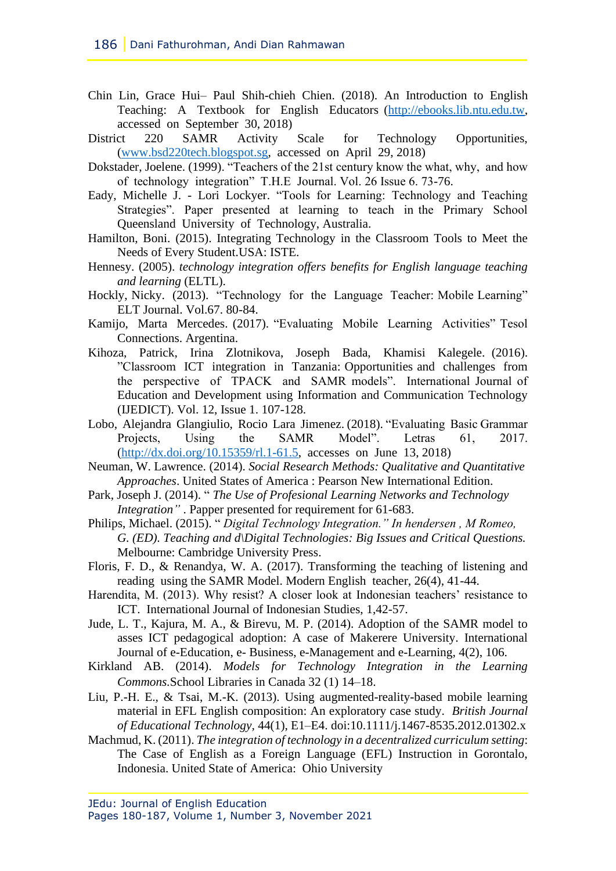- Chin Lin, Grace Hui– Paul Shih-chieh Chien. (2018). An Introduction to English Teaching: A Textbook for English Educators [\(http://ebooks.lib.ntu.edu.tw,](http://ebooks.lib.ntu.edu.tw/) accessed on September 30, 2018)
- District 220 SAMR Activity Scale for Technology Opportunities, [\(www.bsd220tech.blogspot.sg,](www.bsd220tech.blogspot.sg) accessed on April 29, 2018)
- Dokstader, Joelene. (1999). "Teachers of the 21st century know the what, why, and how of technology integration" T.H.E Journal. Vol. 26 Issue 6. 73-76.
- Eady, Michelle J. Lori Lockyer. "Tools for Learning: Technology and Teaching Strategies". Paper presented at learning to teach in the Primary School Queensland University of Technology, Australia.
- Hamilton, Boni. (2015). Integrating Technology in the Classroom Tools to Meet the Needs of Every Student.USA: ISTE.
- Hennesy. (2005). *technology integration offers benefits for English language teaching and learning* (ELTL).
- Hockly, Nicky. (2013). "Technology for the Language Teacher: Mobile Learning" ELT Journal. Vol.67. 80-84.
- Kamijo, Marta Mercedes. (2017). "Evaluating Mobile Learning Activities" Tesol Connections. Argentina.
- Kihoza, Patrick, Irina Zlotnikova, Joseph Bada, Khamisi Kalegele. (2016). "Classroom ICT integration in Tanzania: Opportunities and challenges from the perspective of TPACK and SAMR models". International Journal of Education and Development using Information and Communication Technology (IJEDICT). Vol. 12, Issue 1. 107-128.
- Lobo, Alejandra Glangiulio, Rocio Lara Jimenez. (2018). "Evaluating Basic Grammar Projects, Using the SAMR Model". Letras 61, 2017. [\(http://dx.doi.org/10.15359/rl.1-61.5,](http://dx.doi.org/10.15359/rl.1-61.5) accesses on June 13, 2018)
- Neuman, W. Lawrence. (2014). *Social Research Methods: Qualitative and Quantitative Approaches*. United States of America : Pearson New International Edition.
- Park, Joseph J. (2014). " *The Use of Profesional Learning Networks and Technology Integration"* . Papper presented for requirement for 61-683.
- Philips, Michael. (2015). " *Digital Technology Integration." In hendersen , M Romeo, G. (ED). Teaching and d\Digital Technologies: Big Issues and Critical Questions.* Melbourne: Cambridge University Press.
- Floris, F. D., & Renandya, W. A. (2017). Transforming the teaching of listening and reading using the SAMR Model. Modern English teacher, 26(4), 41-44.
- Harendita, M. (2013). Why resist? A closer look at Indonesian teachers' resistance to ICT. International Journal of Indonesian Studies, 1,42-57.
- Jude, L. T., Kajura, M. A., & Birevu, M. P. (2014). Adoption of the SAMR model to asses ICT pedagogical adoption: A case of Makerere University. International Journal of e-Education, e- Business, e-Management and e-Learning, 4(2), 106.
- Kirkland AB. (2014). *Models for Technology Integration in the Learning Commons.*School Libraries in Canada 32 (1) 14–18.
- Liu, P.-H. E., & Tsai, M.-K. (2013). Using augmented-reality-based mobile learning material in EFL English composition: An exploratory case study. *British Journal of Educational Technology,* 44(1), E1–E4. doi:10.1111/j.1467-8535.2012.01302.x
- Machmud, K. (2011). *The integration of technology in a decentralized curriculum setting*: The Case of English as a Foreign Language (EFL) Instruction in Gorontalo, Indonesia. United State of America: Ohio University

JEdu: Journal of English Education Pages 180-187, Volume 1, Number 3, November 2021